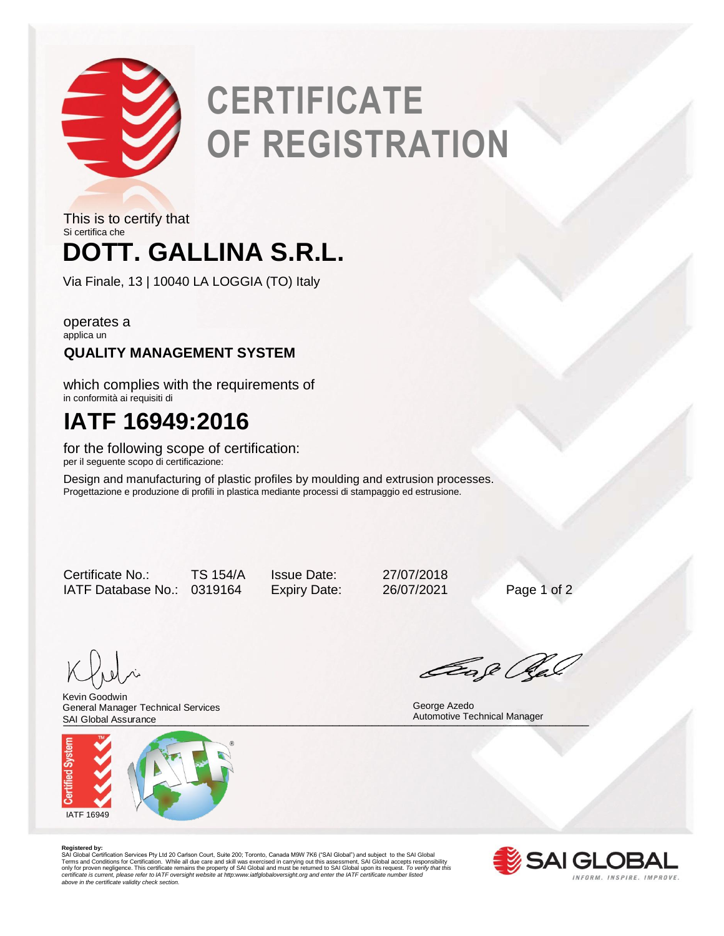

# **CERTIFICATE OF REGISTRATION**

## **DOTT. GALLINA S.R.L.** This is to certify that Si certifica che

Via Finale, 13 | 10040 LA LOGGIA (TO) Italy

operates a applica un

### **QUALITY MANAGEMENT SYSTEM**

which complies with the requirements of in conformità ai requisiti di

## **IATF 16949:2016**

for the following scope of certification: per il seguente scopo di certificazione:

Design and manufacturing of plastic profiles by moulding and extrusion processes. Progettazione e produzione di profili in plastica mediante processi di stampaggio ed estrusione.

Certificate No.: TS 154/A Issue Date: 27/07/2018 IATF Database No.: 0319164 Expiry Date: 26/07/2021 Page 1 of 2

SAI Global Assurance **Manager** Automotive Technical Manager<br>
Automotive Technical Manager Kevin Goodwin General Manager Technical Services SAI Global Assurance



Gage Ra

George Azedo

**Registered by:**<br>SAI Global Certification Services Pty Ltd 20 Carlson Court, Suite 200; Toronto, Canada M9W 7K6 ("SAI Global") and subject to the SAI Global<br>Terms and Conditions for Certification. While all due care and sk *certificate is current, please refer to IATF oversight website at http:www.iatfglobaloversight.org and enter the IATF certificate number listed above in the certificate validity check section.*